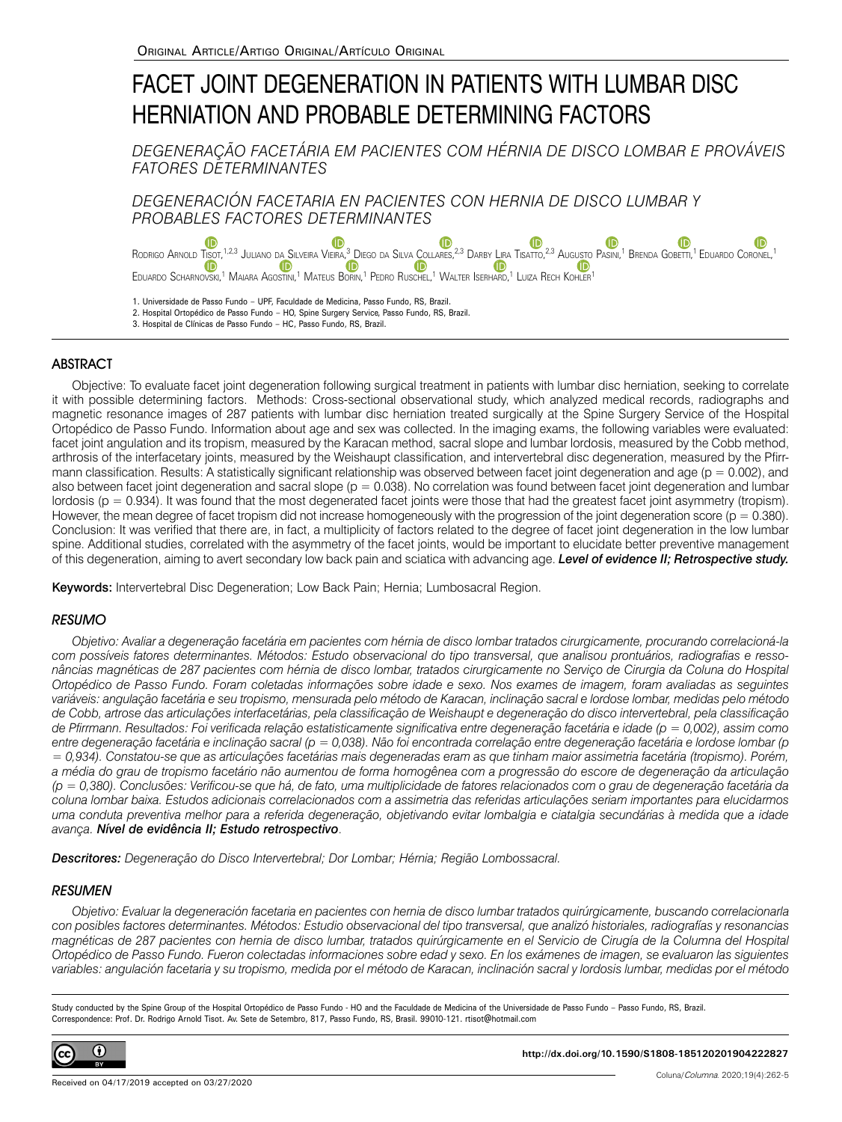# FACET JOINT DEGENERATION IN PATIENTS WITH LUMBAR DISC HERNIATION AND PROBABLE DETERMINING FACTORS

# *DEGENERAÇÃO FACETÁRIA EM PACIENTES COM HÉRNIA DE DISCO LOMBAR E PROVÁVEIS FATORES DETERMINANTES*

*DEGENERACIÓN FACETARIA EN PACIENTES CON HERNIA DE DISCO LUMBAR Y PROBABLES FACTORES DETERMINANTES*

Œ  $\bullet$ Rodrigo Arnold Ti<u>s</u>ot[,](https://orcid.org/0000-0002-6964-7270)<sup>1,2,3</sup> Juliano da Silveira Vieira,<sup>3</sup> Diego da Silva <u>C</u>ollares,<sup>2,3</sup> Darby [Lira](https://orcid.org/0000-0002-7362-1364) Tisatto,<sup>2,3</sup> Au[gusto](https://orcid.org/0000-0002-4916-0860) Pasini,<sup>1</sup> Brenda Gobetti,<sup>1</sup> Eduardo Coronel,<sup>1</sup> Eduardo Scharnovski[,](https://orcid.org/0000-0001-9280-6674)<sup>1</sup> Maiara Agostini,<sup>1</sup> Mateus [B](https://orcid.org/0000-0001-9280-6674)orin,<sup>1</sup> Pedro Ruschel,<sup>1</sup> Walter Iserhard,<sup>1</sup> Luiza Rech Kohler<sup>1</sup>

1. Universidade de Passo Fundo – UPF, Faculdade de Medicina, Passo Fundo, RS, Brazil.

2. Hospital Ortopédico de Passo Fundo – HO, Spine Surgery Service, Passo Fundo, RS, Brazil.

3. Hospital de Clínicas de Passo Fundo – HC, Passo Fundo, RS, Brazil.

## **ABSTRACT**

Objective: To evaluate facet joint degeneration following surgical treatment in patients with lumbar disc herniation, seeking to correlate it with possible determining factors. Methods: Cross-sectional observational study, which analyzed medical records, radiographs and magnetic resonance images of 287 patients with lumbar disc herniation treated surgically at the Spine Surgery Service of the Hospital Ortopédico de Passo Fundo. Information about age and sex was collected. In the imaging exams, the following variables were evaluated: facet joint angulation and its tropism, measured by the Karacan method, sacral slope and lumbar lordosis, measured by the Cobb method, arthrosis of the interfacetary joints, measured by the Weishaupt classification, and intervertebral disc degeneration, measured by the Pfirrmann classification. Results: A statistically significant relationship was observed between facet joint degeneration and age ( $p = 0.002$ ), and also between facet joint degeneration and sacral slope  $(p = 0.038)$ . No correlation was found between facet joint degeneration and lumbar lordosis (p = 0.934). It was found that the most degenerated facet joints were those that had the greatest facet joint asymmetry (tropism). However, the mean degree of facet tropism did not increase homogeneously with the progression of the joint degeneration score ( $p = 0.380$ ). Conclusion: It was verified that there are, in fact, a multiplicity of factors related to the degree of facet joint degeneration in the low lumbar spine. Additional studies, correlated with the asymmetry of the facet joints, would be important to elucidate better preventive management of this degeneration, aiming to avert secondary low back pain and sciatica with advancing age. *Level of evidence II; Retrospective study.*

Keywords: Intervertebral Disc Degeneration; Low Back Pain; Hernia; Lumbosacral Region.

## **RESUMO**

*Objetivo: Avaliar a degeneração facetária em pacientes com hérnia de disco lombar tratados cirurgicamente, procurando correlacioná-la com possíveis fatores determinantes. Métodos: Estudo observacional do tipo transversal, que analisou prontuários, radiografias e ressonâncias magnéticas de 287 pacientes com hérnia de disco lombar, tratados cirurgicamente no Serviço de Cirurgia da Coluna do Hospital Ortopédico de Passo Fundo. Foram coletadas informações sobre idade e sexo. Nos exames de imagem, foram avaliadas as seguintes variáveis: angulação facetária e seu tropismo, mensurada pelo método de Karacan, inclinação sacral e lordose lombar, medidas pelo método de Cobb, artrose das articulações interfacetárias, pela classificação de Weishaupt e degeneração do disco intervertebral, pela classificação de Pfirrmann. Resultados: Foi verificada relação estatisticamente significativa entre degeneração facetária e idade (p = 0,002), assim como entre degeneração facetária e inclinação sacral (p = 0,038). Não foi encontrada correlação entre degeneração facetária e lordose lombar (p = 0,934). Constatou-se que as articulações facetárias mais degeneradas eram as que tinham maior assimetria facetária (tropismo). Porém, a média do grau de tropismo facetário não aumentou de forma homogênea com a progressão do escore de degeneração da articulação (p = 0,380). Conclusões: Verificou-se que há, de fato, uma multiplicidade de fatores relacionados com o grau de degeneração facetária da coluna lombar baixa. Estudos adicionais correlacionados com a assimetria das referidas articulações seriam importantes para elucidarmos uma conduta preventiva melhor para a referida degeneração, objetivando evitar lombalgia e ciatalgia secundárias à medida que a idade avança. Nível de evidência II; Estudo retrospectivo*.

*Descritores: Degeneração do Disco Intervertebral; Dor Lombar; Hérnia; Região Lombossacral.*

## RESUMEN

*Objetivo: Evaluar la degeneración facetaria en pacientes con hernia de disco lumbar tratados quirúrgicamente, buscando correlacionarla con posibles factores determinantes. Métodos: Estudio observacional del tipo transversal, que analizó historiales, radiografías y resonancias magnéticas de 287 pacientes con hernia de disco lumbar, tratados quirúrgicamente en el Servicio de Cirugía de la Columna del Hospital Ortopédico de Passo Fundo. Fueron colectadas informaciones sobre edad y sexo. En los exámenes de imagen, se evaluaron las siguientes variables: angulación facetaria y su tropismo, medida por el método de Karacan, inclinación sacral y lordosis lumbar, medidas por el método* 

Study conducted by the Spine Group of the Hospital Ortopédico de Passo Fundo - HO and the Faculdade de Medicina of the Universidade de Passo Fundo – Passo Fundo, RS, Brazil. Correspondence: Prof. Dr. Rodrigo Arnold Tisot. Av. Sete de Setembro, 817, Passo Fundo, RS, Brasil. 99010-121. rtisot@hotmail.com

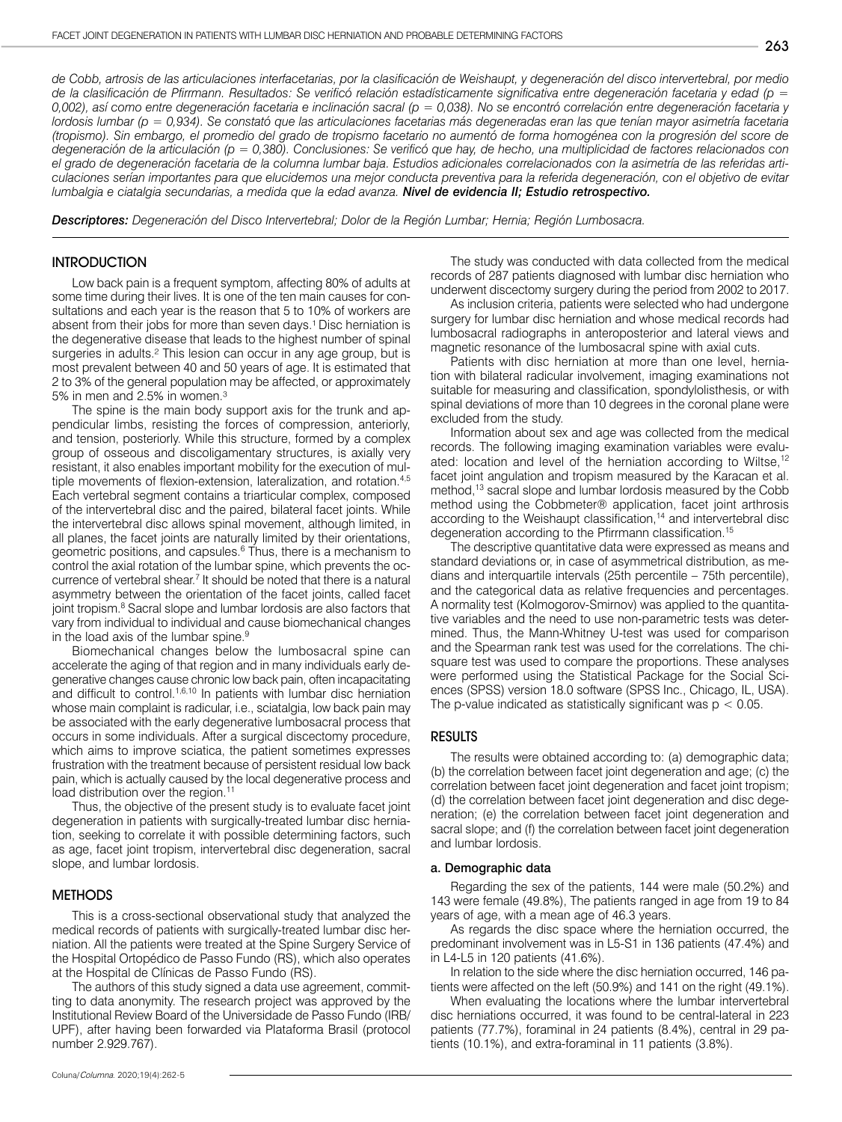*de Cobb, artrosis de las articulaciones interfacetarias, por la clasificación de Weishaupt, y degeneración del disco intervertebral, por medio de la clasificación de Pfirrmann. Resultados: Se verificó relación estadísticamente significativa entre degeneración facetaria y edad (p = 0,002), así como entre degeneración facetaria e inclinación sacral (p = 0,038). No se encontró correlación entre degeneración facetaria y lordosis lumbar (p = 0,934). Se constató que las articulaciones facetarias más degeneradas eran las que tenían mayor asimetría facetaria (tropismo). Sin embargo, el promedio del grado de tropismo facetario no aumentó de forma homogénea con la progresión del score de degeneración de la articulación (p = 0,380). Conclusiones: Se verificó que hay, de hecho, una multiplicidad de factores relacionados con el grado de degeneración facetaria de la columna lumbar baja. Estudios adicionales correlacionados con la asimetría de las referidas articulaciones serían importantes para que elucidemos una mejor conducta preventiva para la referida degeneración, con el objetivo de evitar lumbalgia e ciatalgia secundarias, a medida que la edad avanza. Nivel de evidencia II; Estudio retrospectivo.*

*Descriptores: Degeneración del Disco Intervertebral; Dolor de la Región Lumbar; Hernia; Región Lumbosacra.* 

## **INTRODUCTION**

Low back pain is a frequent symptom, affecting 80% of adults at some time during their lives. It is one of the ten main causes for consultations and each year is the reason that 5 to 10% of workers are absent from their jobs for more than seven days.<sup>1</sup> Disc herniation is the degenerative disease that leads to the highest number of spinal surgeries in adults.<sup>2</sup> This lesion can occur in any age group, but is most prevalent between 40 and 50 years of age. It is estimated that 2 to 3% of the general population may be affected, or approximately 5% in men and 2.5% in women.³

The spine is the main body support axis for the trunk and appendicular limbs, resisting the forces of compression, anteriorly, and tension, posteriorly. While this structure, formed by a complex group of osseous and discoligamentary structures, is axially very resistant, it also enables important mobility for the execution of multiple movements of flexion-extension, lateralization, and rotation.4,5 Each vertebral segment contains a triarticular complex, composed of the intervertebral disc and the paired, bilateral facet joints. While the intervertebral disc allows spinal movement, although limited, in all planes, the facet joints are naturally limited by their orientations, geometric positions, and capsules.<sup>6</sup> Thus, there is a mechanism to control the axial rotation of the lumbar spine, which prevents the occurrence of vertebral shear.<sup>7</sup> It should be noted that there is a natural asymmetry between the orientation of the facet joints, called facet joint tropism.<sup>8</sup> Sacral slope and lumbar lordosis are also factors that vary from individual to individual and cause biomechanical changes in the load axis of the lumbar spine.9

Biomechanical changes below the lumbosacral spine can accelerate the aging of that region and in many individuals early degenerative changes cause chronic low back pain, often incapacitating and difficult to control.<sup>1,6,10</sup> In patients with lumbar disc herniation whose main complaint is radicular, i.e., sciatalgia, low back pain may be associated with the early degenerative lumbosacral process that occurs in some individuals. After a surgical discectomy procedure, which aims to improve sciatica, the patient sometimes expresses frustration with the treatment because of persistent residual low back pain, which is actually caused by the local degenerative process and load distribution over the region.<sup>11</sup>

Thus, the objective of the present study is to evaluate facet joint degeneration in patients with surgically-treated lumbar disc herniation, seeking to correlate it with possible determining factors, such as age, facet joint tropism, intervertebral disc degeneration, sacral slope, and lumbar lordosis.

## METHODS

This is a cross-sectional observational study that analyzed the medical records of patients with surgically-treated lumbar disc herniation. All the patients were treated at the Spine Surgery Service of the Hospital Ortopédico de Passo Fundo (RS), which also operates at the Hospital de Clínicas de Passo Fundo (RS).

The authors of this study signed a data use agreement, committing to data anonymity. The research project was approved by the Institutional Review Board of the Universidade de Passo Fundo (IRB/ UPF), after having been forwarded via Plataforma Brasil (protocol number 2.929.767).

The study was conducted with data collected from the medical records of 287 patients diagnosed with lumbar disc herniation who underwent discectomy surgery during the period from 2002 to 2017.

As inclusion criteria, patients were selected who had undergone surgery for lumbar disc herniation and whose medical records had lumbosacral radiographs in anteroposterior and lateral views and magnetic resonance of the lumbosacral spine with axial cuts.

Patients with disc herniation at more than one level, herniation with bilateral radicular involvement, imaging examinations not suitable for measuring and classification, spondylolisthesis, or with spinal deviations of more than 10 degrees in the coronal plane were excluded from the study.

Information about sex and age was collected from the medical records. The following imaging examination variables were evaluated: location and level of the herniation according to Wiltse,<sup>12</sup> facet joint angulation and tropism measured by the Karacan et al. method,13 sacral slope and lumbar lordosis measured by the Cobb method using the Cobbmeter® application, facet joint arthrosis according to the Weishaupt classification,<sup>14</sup> and intervertebral disc degeneration according to the Pfirrmann classification.15

The descriptive quantitative data were expressed as means and standard deviations or, in case of asymmetrical distribution, as medians and interquartile intervals (25th percentile – 75th percentile), and the categorical data as relative frequencies and percentages. A normality test (Kolmogorov-Smirnov) was applied to the quantitative variables and the need to use non-parametric tests was determined. Thus, the Mann-Whitney U-test was used for comparison and the Spearman rank test was used for the correlations. The chisquare test was used to compare the proportions. These analyses were performed using the Statistical Package for the Social Sciences (SPSS) version 18.0 software (SPSS Inc., Chicago, IL, USA). The p-value indicated as statistically significant was  $p < 0.05$ .

## RESULTS

The results were obtained according to: (a) demographic data; (b) the correlation between facet joint degeneration and age; (c) the correlation between facet joint degeneration and facet joint tropism; (d) the correlation between facet joint degeneration and disc degeneration; (e) the correlation between facet joint degeneration and sacral slope; and (f) the correlation between facet joint degeneration and lumbar lordosis.

#### a. Demographic data

Regarding the sex of the patients, 144 were male (50.2%) and 143 were female (49.8%), The patients ranged in age from 19 to 84 years of age, with a mean age of 46.3 years.

As regards the disc space where the herniation occurred, the predominant involvement was in L5-S1 in 136 patients (47.4%) and in L4-L5 in 120 patients (41.6%).

In relation to the side where the disc herniation occurred, 146 patients were affected on the left (50.9%) and 141 on the right (49.1%).

When evaluating the locations where the lumbar intervertebral disc herniations occurred, it was found to be central-lateral in 223 patients (77.7%), foraminal in 24 patients (8.4%), central in 29 patients (10.1%), and extra-foraminal in 11 patients (3.8%).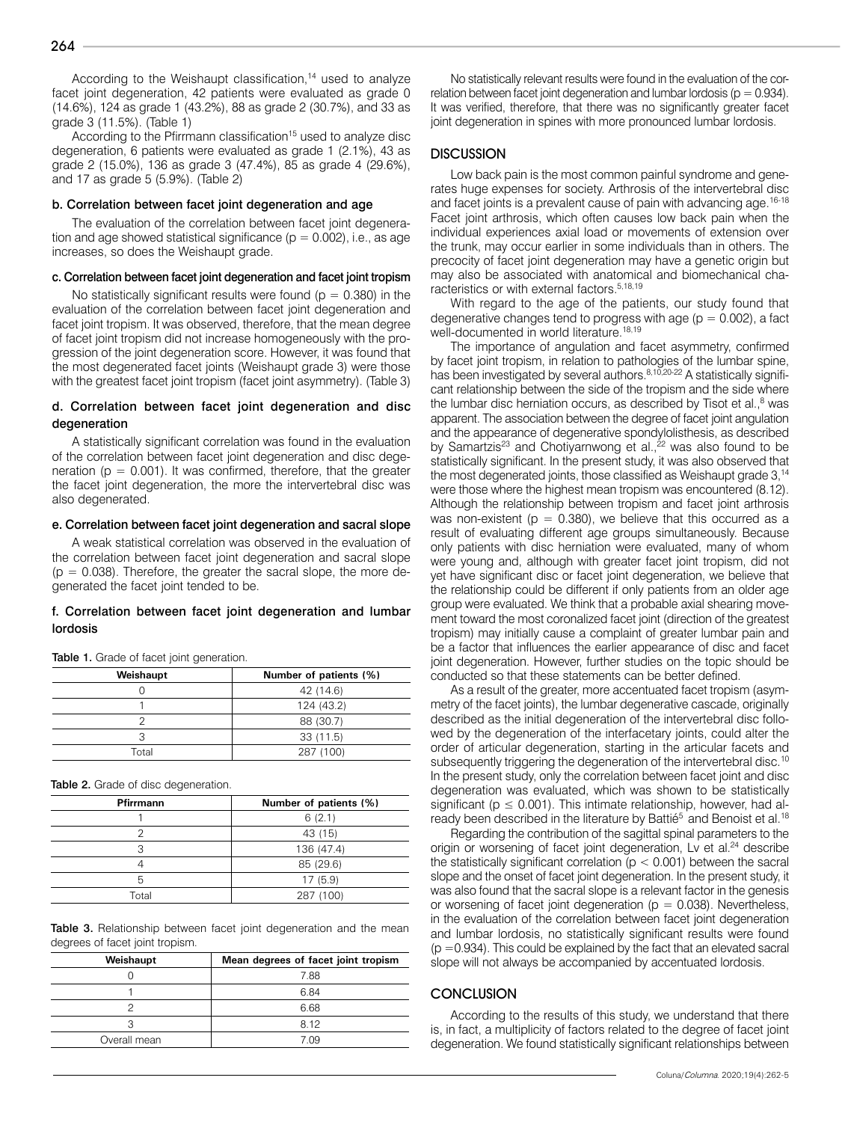According to the Weishaupt classification,<sup>14</sup> used to analyze facet joint degeneration, 42 patients were evaluated as grade 0 (14.6%), 124 as grade 1 (43.2%), 88 as grade 2 (30.7%), and 33 as grade 3 (11.5%). (Table 1)

According to the Pfirrmann classification<sup>15</sup> used to analyze disc degeneration, 6 patients were evaluated as grade 1 (2.1%), 43 as grade 2 (15.0%), 136 as grade 3 (47.4%), 85 as grade 4 (29.6%), and 17 as grade 5 (5.9%). (Table 2)

#### b. Correlation between facet joint degeneration and age

The evaluation of the correlation between facet joint degeneration and age showed statistical significance ( $p = 0.002$ ), i.e., as age increases, so does the Weishaupt grade.

## c. Correlation between facet joint degeneration and facet joint tropism

No statistically significant results were found ( $p = 0.380$ ) in the evaluation of the correlation between facet joint degeneration and facet joint tropism. It was observed, therefore, that the mean degree of facet joint tropism did not increase homogeneously with the progression of the joint degeneration score. However, it was found that the most degenerated facet joints (Weishaupt grade 3) were those with the greatest facet joint tropism (facet joint asymmetry). (Table 3)

## d. Correlation between facet joint degeneration and disc degeneration

A statistically significant correlation was found in the evaluation of the correlation between facet joint degeneration and disc degeneration ( $p = 0.001$ ). It was confirmed, therefore, that the greater the facet joint degeneration, the more the intervertebral disc was also degenerated.

#### e. Correlation between facet joint degeneration and sacral slope

A weak statistical correlation was observed in the evaluation of the correlation between facet joint degeneration and sacral slope  $(p = 0.038)$ . Therefore, the greater the sacral slope, the more degenerated the facet joint tended to be.

## f. Correlation between facet joint degeneration and lumbar lordosis

| Weishaupt | Number of patients (%) |
|-----------|------------------------|
|           | 42 (14.6)              |
|           | 124 (43.2)             |
|           | 88 (30.7)              |
|           | 33 (11.5)              |
| Total     | 287 (100)              |

Table 1. Grade of facet joint generation.

Table 2. Grade of disc degeneration.

| Pfirrmann | Number of patients (%) |
|-----------|------------------------|
|           | 6(2.1)                 |
|           | 43 (15)                |
|           | 136 (47.4)             |
|           | 85 (29.6)              |
| 5         | 17(5.9)                |
| Total     | 287 (100)              |

Table 3. Relationship between facet joint degeneration and the mean degrees of facet joint tropism.

| Weishaupt    | Mean degrees of facet joint tropism |
|--------------|-------------------------------------|
|              | 7.88                                |
|              | 6.84                                |
|              | 6.68                                |
|              | 8.12                                |
| Overall mean | 7 NQ                                |

No statistically relevant results were found in the evaluation of the correlation between facet joint degeneration and lumbar lordosis ( $p = 0.934$ ). It was verified, therefore, that there was no significantly greater facet joint degeneration in spines with more pronounced lumbar lordosis.

#### **DISCUSSION**

Low back pain is the most common painful syndrome and generates huge expenses for society. Arthrosis of the intervertebral disc and facet joints is a prevalent cause of pain with advancing age.<sup>16-18</sup> Facet joint arthrosis, which often causes low back pain when the individual experiences axial load or movements of extension over the trunk, may occur earlier in some individuals than in others. The precocity of facet joint degeneration may have a genetic origin but may also be associated with anatomical and biomechanical characteristics or with external factors.5,18,19

With regard to the age of the patients, our study found that degenerative changes tend to progress with age  $(p = 0.002)$ , a fact well-documented in world literature.<sup>18,19</sup>

The importance of angulation and facet asymmetry, confirmed by facet joint tropism, in relation to pathologies of the lumbar spine, has been investigated by several authors.<sup>8,10,20-22</sup> A statistically significant relationship between the side of the tropism and the side where the lumbar disc herniation occurs, as described by Tisot et al., $<sup>8</sup>$  was</sup> apparent. The association between the degree of facet joint angulation and the appearance of degenerative spondylolisthesis, as described by Samartzis<sup>23</sup> and Chotiyarnwong et al.,<sup>22</sup> was also found to be statistically significant. In the present study, it was also observed that the most degenerated joints, those classified as Weishaupt grade 3,<sup>14</sup> were those where the highest mean tropism was encountered (8.12). Although the relationship between tropism and facet joint arthrosis was non-existent ( $p = 0.380$ ), we believe that this occurred as a result of evaluating different age groups simultaneously. Because only patients with disc herniation were evaluated, many of whom were young and, although with greater facet joint tropism, did not yet have significant disc or facet joint degeneration, we believe that the relationship could be different if only patients from an older age group were evaluated. We think that a probable axial shearing movement toward the most coronalized facet joint (direction of the greatest tropism) may initially cause a complaint of greater lumbar pain and be a factor that influences the earlier appearance of disc and facet joint degeneration. However, further studies on the topic should be conducted so that these statements can be better defined.

As a result of the greater, more accentuated facet tropism (asymmetry of the facet joints), the lumbar degenerative cascade, originally described as the initial degeneration of the intervertebral disc followed by the degeneration of the interfacetary joints, could alter the order of articular degeneration, starting in the articular facets and subsequently triggering the degeneration of the intervertebral disc.<sup>10</sup> In the present study, only the correlation between facet joint and disc degeneration was evaluated, which was shown to be statistically significant ( $p \le 0.001$ ). This intimate relationship, however, had already been described in the literature by Battié<sup>5</sup> and Benoist et al.<sup>18</sup>

Regarding the contribution of the sagittal spinal parameters to the origin or worsening of facet joint degeneration, Lv et al.<sup>24</sup> describe the statistically significant correlation ( $p < 0.001$ ) between the sacral slope and the onset of facet joint degeneration. In the present study, it was also found that the sacral slope is a relevant factor in the genesis or worsening of facet joint degeneration ( $p = 0.038$ ). Nevertheless, in the evaluation of the correlation between facet joint degeneration and lumbar lordosis, no statistically significant results were found  $(p = 0.934)$ . This could be explained by the fact that an elevated sacral slope will not always be accompanied by accentuated lordosis.

## **CONCLUSION**

According to the results of this study, we understand that there is, in fact, a multiplicity of factors related to the degree of facet joint degeneration. We found statistically significant relationships between